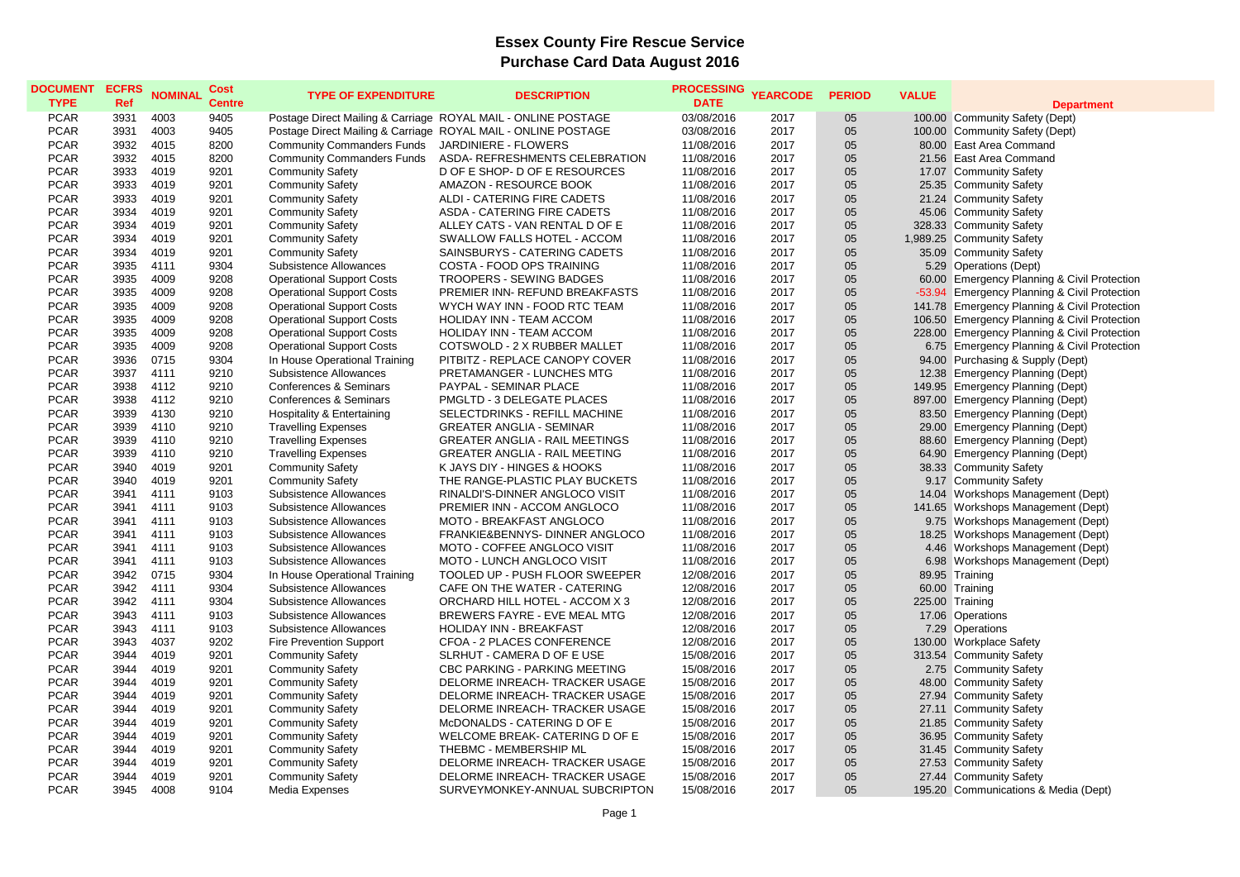## **Essex County Fire Rescue Service Purchase Card Data August 2016**

| <b>DOCUMENT</b><br><b>TYPE</b> | <b>ECFRS</b><br>Ref | <b>NOMINAL</b> | Cost<br><b>Centre</b> | <b>TYPE OF EXPENDITURE</b>        | <b>DESCRIPTION</b>                                               | <b>PROCESSING</b><br><b>DATE</b> | <b>YEARCODE</b> | <b>PERIOD</b> | <b>VALUE</b> | <b>Department</b>                                |
|--------------------------------|---------------------|----------------|-----------------------|-----------------------------------|------------------------------------------------------------------|----------------------------------|-----------------|---------------|--------------|--------------------------------------------------|
| <b>PCAR</b>                    | 3931                | 4003           | 9405                  |                                   | Postage Direct Mailing & Carriage ROYAL MAIL - ONLINE POSTAGE    | 03/08/2016                       | 2017            | 05            |              | 100.00 Community Safety (Dept)                   |
| <b>PCAR</b>                    | 3931                | 4003           | 9405                  |                                   | Postage Direct Mailing & Carriage ROYAL MAIL - ONLINE POSTAGE    | 03/08/2016                       | 2017            | 05            |              | 100.00 Community Safety (Dept)                   |
| <b>PCAR</b>                    | 3932                | 4015           | 8200                  | <b>Community Commanders Funds</b> | JARDINIERE - FLOWERS                                             | 11/08/2016                       | 2017            | 05            |              | 80.00 East Area Command                          |
| <b>PCAR</b>                    | 3932                | 4015           | 8200                  | <b>Community Commanders Funds</b> | ASDA- REFRESHMENTS CELEBRATION                                   | 11/08/2016                       | 2017            | 05            |              | 21.56 East Area Command                          |
| <b>PCAR</b>                    | 3933                | 4019           | 9201                  | <b>Community Safety</b>           | D OF E SHOP- D OF E RESOURCES                                    | 11/08/2016                       | 2017            | 05            |              | 17.07 Community Safety                           |
| <b>PCAR</b>                    | 3933                | 4019           | 9201                  | <b>Community Safety</b>           | AMAZON - RESOURCE BOOK                                           | 11/08/2016                       | 2017            | 05            |              | 25.35 Community Safety                           |
| <b>PCAR</b>                    | 3933                | 4019           | 9201                  | <b>Community Safety</b>           | ALDI - CATERING FIRE CADETS                                      | 11/08/2016                       | 2017            | 05            |              | 21.24 Community Safety                           |
| <b>PCAR</b>                    | 3934                | 4019           | 9201                  | <b>Community Safety</b>           | ASDA - CATERING FIRE CADETS                                      | 11/08/2016                       | 2017            | 05            |              | 45.06 Community Safety                           |
| <b>PCAR</b>                    | 3934                | 4019           | 9201                  | <b>Community Safety</b>           | ALLEY CATS - VAN RENTAL D OF E                                   | 11/08/2016                       | 2017            | 05            |              | 328.33 Community Safety                          |
| <b>PCAR</b>                    | 3934                | 4019           | 9201                  | <b>Community Safety</b>           | SWALLOW FALLS HOTEL - ACCOM                                      | 11/08/2016                       | 2017            | 05            |              | 1,989.25 Community Safety                        |
| <b>PCAR</b>                    | 3934                | 4019           | 9201                  | <b>Community Safety</b>           | SAINSBURYS - CATERING CADETS                                     | 11/08/2016                       | 2017            | 05            |              | 35.09 Community Safety                           |
| <b>PCAR</b>                    | 3935                | 4111           | 9304                  | Subsistence Allowances            | COSTA - FOOD OPS TRAINING                                        | 11/08/2016                       | 2017            | 05            |              | 5.29 Operations (Dept)                           |
| <b>PCAR</b>                    | 3935                | 4009           | 9208                  | <b>Operational Support Costs</b>  | <b>TROOPERS - SEWING BADGES</b>                                  | 11/08/2016                       | 2017            | 05            |              | 60.00 Emergency Planning & Civil Protection      |
| <b>PCAR</b>                    | 3935                | 4009           | 9208                  | <b>Operational Support Costs</b>  | PREMIER INN- REFUND BREAKFASTS                                   | 11/08/2016                       | 2017            | 05            |              | -53.94 Emergency Planning & Civil Protection     |
| <b>PCAR</b>                    | 3935                | 4009           | 9208                  | <b>Operational Support Costs</b>  | WYCH WAY INN - FOOD RTC TEAM                                     | 11/08/2016                       | 2017            | 05            |              | 141.78 Emergency Planning & Civil Protection     |
| <b>PCAR</b>                    | 3935                | 4009           | 9208                  | <b>Operational Support Costs</b>  | HOLIDAY INN - TEAM ACCOM                                         | 11/08/2016                       | 2017            | 05            |              | 106.50 Emergency Planning & Civil Protection     |
| <b>PCAR</b>                    | 3935                | 4009           | 9208                  | <b>Operational Support Costs</b>  | HOLIDAY INN - TEAM ACCOM                                         | 11/08/2016                       | 2017            | 05            |              | 228.00 Emergency Planning & Civil Protection     |
| <b>PCAR</b>                    | 3935                | 4009           | 9208                  | <b>Operational Support Costs</b>  | COTSWOLD - 2 X RUBBER MALLET                                     | 11/08/2016                       | 2017            | 05            |              | 6.75 Emergency Planning & Civil Protection       |
| <b>PCAR</b>                    | 3936                | 0715           | 9304                  | In House Operational Training     | PITBITZ - REPLACE CANOPY COVER                                   | 11/08/2016                       | 2017            | 05            |              | 94.00 Purchasing & Supply (Dept)                 |
| <b>PCAR</b>                    | 3937                | 4111           | 9210                  | Subsistence Allowances            | PRETAMANGER - LUNCHES MTG                                        | 11/08/2016                       | 2017            | 05            |              | 12.38 Emergency Planning (Dept)                  |
| <b>PCAR</b>                    | 3938                | 4112           | 9210                  | <b>Conferences &amp; Seminars</b> | PAYPAL - SEMINAR PLACE                                           | 11/08/2016                       | 2017            | 05            |              | 149.95 Emergency Planning (Dept)                 |
| <b>PCAR</b>                    | 3938                | 4112           | 9210                  | Conferences & Seminars            | PMGLTD - 3 DELEGATE PLACES                                       | 11/08/2016                       | 2017            | 05            |              | 897.00 Emergency Planning (Dept)                 |
| <b>PCAR</b>                    | 3939                | 4130           | 9210                  | Hospitality & Entertaining        | SELECTDRINKS - REFILL MACHINE                                    | 11/08/2016                       | 2017            | 05            |              | 83.50 Emergency Planning (Dept)                  |
| <b>PCAR</b>                    | 3939                | 4110           | 9210                  | <b>Travelling Expenses</b>        | <b>GREATER ANGLIA - SEMINAR</b>                                  | 11/08/2016                       | 2017            | 05            |              | 29.00 Emergency Planning (Dept)                  |
| <b>PCAR</b>                    | 3939                | 4110           | 9210                  | <b>Travelling Expenses</b>        | <b>GREATER ANGLIA - RAIL MEETINGS</b>                            | 11/08/2016                       | 2017            | 05            |              | 88.60 Emergency Planning (Dept)                  |
| <b>PCAR</b>                    | 3939                | 4110           | 9210                  | <b>Travelling Expenses</b>        | <b>GREATER ANGLIA - RAIL MEETING</b>                             | 11/08/2016                       | 2017            | 05            |              | 64.90 Emergency Planning (Dept)                  |
| <b>PCAR</b>                    | 3940                | 4019           | 9201                  | <b>Community Safety</b>           | K JAYS DIY - HINGES & HOOKS                                      | 11/08/2016                       | 2017            | 05            |              | 38.33 Community Safety                           |
| <b>PCAR</b>                    | 3940                | 4019           | 9201                  | <b>Community Safety</b>           | THE RANGE-PLASTIC PLAY BUCKETS                                   | 11/08/2016                       | 2017            | 05            |              | 9.17 Community Safety                            |
| <b>PCAR</b>                    | 3941                | 4111           | 9103                  | Subsistence Allowances            | RINALDI'S-DINNER ANGLOCO VISIT                                   | 11/08/2016                       | 2017            | 05            |              | 14.04 Workshops Management (Dept)                |
| <b>PCAR</b>                    | 3941                | 4111           | 9103                  | Subsistence Allowances            | PREMIER INN - ACCOM ANGLOCO                                      | 11/08/2016                       | 2017            | 05            |              | 141.65 Workshops Management (Dept)               |
| <b>PCAR</b>                    | 3941                | 4111           | 9103                  | Subsistence Allowances            | MOTO - BREAKFAST ANGLOCO                                         | 11/08/2016                       | 2017            | 05            |              | 9.75 Workshops Management (Dept)                 |
| <b>PCAR</b>                    | 3941                | 4111           | 9103                  | Subsistence Allowances            | FRANKIE&BENNYS- DINNER ANGLOCO                                   | 11/08/2016                       | 2017            | 05            |              | 18.25 Workshops Management (Dept)                |
| <b>PCAR</b>                    | 3941                | 4111           | 9103                  | Subsistence Allowances            | <b>MOTO - COFFEE ANGLOCO VISIT</b>                               | 11/08/2016                       | 2017            | 05            |              | 4.46 Workshops Management (Dept)                 |
| <b>PCAR</b>                    | 3941                | 4111           | 9103                  | Subsistence Allowances            | <b>MOTO - LUNCH ANGLOCO VISIT</b>                                | 11/08/2016                       | 2017            | 05            |              | 6.98 Workshops Management (Dept)                 |
| <b>PCAR</b>                    | 3942                | 0715           | 9304                  | In House Operational Training     | TOOLED UP - PUSH FLOOR SWEEPER                                   | 12/08/2016                       | 2017            | 05            |              | 89.95 Training                                   |
| <b>PCAR</b>                    | 3942                | 4111           | 9304                  | Subsistence Allowances            | CAFE ON THE WATER - CATERING                                     | 12/08/2016                       | 2017            | 05            |              | 60.00 Training                                   |
| <b>PCAR</b>                    | 3942                | 4111           | 9304                  | Subsistence Allowances            | ORCHARD HILL HOTEL - ACCOM X 3                                   | 12/08/2016                       | 2017            | 05            |              | 225.00 Training                                  |
| <b>PCAR</b>                    | 3943                | 4111           | 9103                  | Subsistence Allowances            | BREWERS FAYRE - EVE MEAL MTG                                     | 12/08/2016                       | 2017            | 05            |              | 17.06 Operations                                 |
| <b>PCAR</b>                    | 3943                | 4111           | 9103                  | Subsistence Allowances            | HOLIDAY INN - BREAKFAST                                          | 12/08/2016                       | 2017            | 05            |              | 7.29 Operations                                  |
| <b>PCAR</b>                    | 3943                | 4037           | 9202                  | <b>Fire Prevention Support</b>    | CFOA - 2 PLACES CONFERENCE                                       | 12/08/2016                       | 2017            | 05            |              | 130.00 Workplace Safety                          |
| <b>PCAR</b>                    | 3944                | 4019           | 9201                  | <b>Community Safety</b>           | SLRHUT - CAMERA D OF E USE                                       | 15/08/2016                       | 2017            | 05            |              | 313.54 Community Safety                          |
| <b>PCAR</b>                    | 3944                | 4019           | 9201                  | <b>Community Safety</b>           | <b>CBC PARKING - PARKING MEETING</b>                             | 15/08/2016                       | 2017            | 05            |              | 2.75 Community Safety                            |
| <b>PCAR</b>                    | 3944                | 4019           | 9201                  | <b>Community Safety</b>           | DELORME INREACH- TRACKER USAGE                                   | 15/08/2016                       | 2017            | 05            |              | 48.00 Community Safety                           |
|                                |                     |                |                       |                                   |                                                                  |                                  |                 | 05            |              |                                                  |
| <b>PCAR</b><br><b>PCAR</b>     | 3944<br>3944        | 4019<br>4019   | 9201<br>9201          | <b>Community Safety</b>           | DELORME INREACH- TRACKER USAGE<br>DELORME INREACH- TRACKER USAGE | 15/08/2016<br>15/08/2016         | 2017<br>2017    | 05            |              | 27.94 Community Safety<br>27.11 Community Safety |
|                                |                     |                |                       | <b>Community Safety</b>           |                                                                  |                                  |                 |               |              |                                                  |
| <b>PCAR</b>                    | 3944                | 4019           | 9201                  | <b>Community Safety</b>           | McDONALDS - CATERING D OF E                                      | 15/08/2016                       | 2017            | 05            |              | 21.85 Community Safety                           |
| <b>PCAR</b>                    | 3944                | 4019           | 9201                  | <b>Community Safety</b>           | WELCOME BREAK- CATERING D OF E                                   | 15/08/2016                       | 2017            | 05            |              | 36.95 Community Safety                           |
| <b>PCAR</b>                    | 3944                | 4019           | 9201                  | <b>Community Safety</b>           | THEBMC - MEMBERSHIP ML                                           | 15/08/2016                       | 2017            | 05            |              | 31.45 Community Safety                           |
| <b>PCAR</b>                    | 3944                | 4019           | 9201                  | <b>Community Safety</b>           | DELORME INREACH- TRACKER USAGE                                   | 15/08/2016                       | 2017            | 05            |              | 27.53 Community Safety                           |
| <b>PCAR</b>                    | 3944                | 4019           | 9201                  | <b>Community Safety</b>           | DELORME INREACH- TRACKER USAGE                                   | 15/08/2016                       | 2017            | 05            |              | 27.44 Community Safety                           |
| <b>PCAR</b>                    | 3945                | 4008           | 9104                  | Media Expenses                    | SURVEYMONKEY-ANNUAL SUBCRIPTON                                   | 15/08/2016                       | 2017            | 05            |              | 195.20 Communications & Media (Dept)             |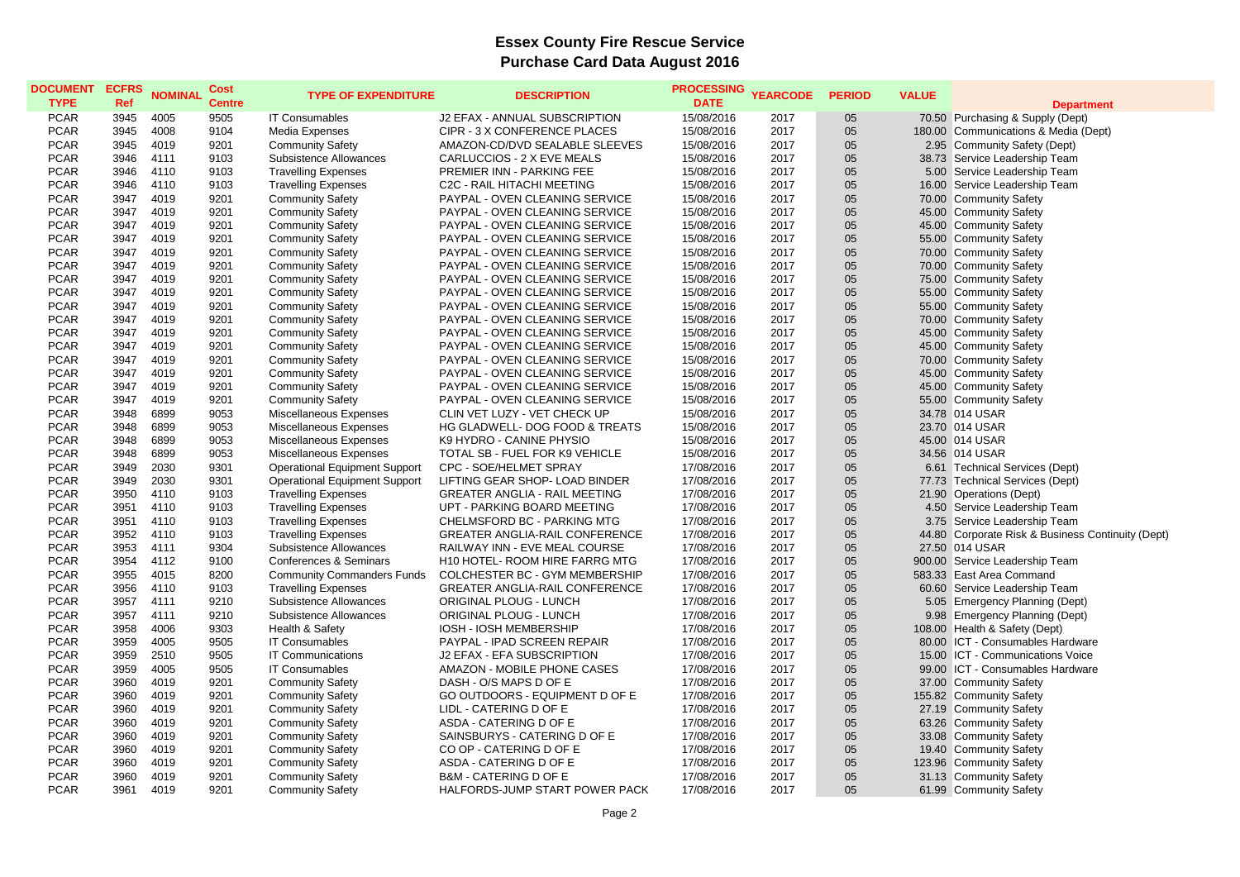## **Essex County Fire Rescue Service Purchase Card Data August 2016**

| <b>DOCUMENT</b><br><b>TYPE</b> | <b>ECFRS</b><br>Ref | <b>NOMINAL</b> | <b>Cost</b><br><b>Centre</b> | <b>TYPE OF EXPENDITURE</b>           | <b>DESCRIPTION</b>                    | <b>PROCESSING</b><br><b>DATE</b> | <b>YEARCODE</b> | <b>PERIOD</b> | <b>VALUE</b> | <b>Department</b>                                 |
|--------------------------------|---------------------|----------------|------------------------------|--------------------------------------|---------------------------------------|----------------------------------|-----------------|---------------|--------------|---------------------------------------------------|
| <b>PCAR</b>                    | 3945                | 4005           | 9505                         | <b>IT Consumables</b>                | J2 EFAX - ANNUAL SUBSCRIPTION         | 15/08/2016                       | 2017            | 05            |              | 70.50 Purchasing & Supply (Dept)                  |
| <b>PCAR</b>                    | 3945                | 4008           | 9104                         | Media Expenses                       | CIPR - 3 X CONFERENCE PLACES          | 15/08/2016                       | 2017            | 05            |              | 180.00 Communications & Media (Dept)              |
| <b>PCAR</b>                    | 3945                | 4019           | 9201                         | <b>Community Safety</b>              | AMAZON-CD/DVD SEALABLE SLEEVES        | 15/08/2016                       | 2017            | 05            |              | 2.95 Community Safety (Dept)                      |
| <b>PCAR</b>                    | 3946                | 4111           | 9103                         | Subsistence Allowances               | CARLUCCIOS - 2 X EVE MEALS            | 15/08/2016                       | 2017            | 05            |              | 38.73 Service Leadership Team                     |
| <b>PCAR</b>                    | 3946                | 4110           | 9103                         | <b>Travelling Expenses</b>           | PREMIER INN - PARKING FEE             | 15/08/2016                       | 2017            | 05            |              | 5.00 Service Leadership Team                      |
| <b>PCAR</b>                    | 3946                | 4110           | 9103                         | <b>Travelling Expenses</b>           | C2C - RAIL HITACHI MEETING            | 15/08/2016                       | 2017            | 05            |              | 16.00 Service Leadership Team                     |
| <b>PCAR</b>                    | 3947                | 4019           | 9201                         | <b>Community Safety</b>              | PAYPAL - OVEN CLEANING SERVICE        | 15/08/2016                       | 2017            | 05            |              | 70.00 Community Safety                            |
| <b>PCAR</b>                    | 3947                | 4019           | 9201                         | <b>Community Safety</b>              | PAYPAL - OVEN CLEANING SERVICE        | 15/08/2016                       | 2017            | 05            |              | 45.00 Community Safety                            |
| <b>PCAR</b>                    | 3947                | 4019           | 9201                         | <b>Community Safety</b>              | PAYPAL - OVEN CLEANING SERVICE        | 15/08/2016                       | 2017            | 05            |              | 45.00 Community Safety                            |
| <b>PCAR</b>                    | 3947                | 4019           | 9201                         | <b>Community Safety</b>              | PAYPAL - OVEN CLEANING SERVICE        | 15/08/2016                       | 2017            | 05            |              | 55.00 Community Safety                            |
| <b>PCAR</b>                    | 3947                | 4019           | 9201                         | <b>Community Safety</b>              | PAYPAL - OVEN CLEANING SERVICE        | 15/08/2016                       | 2017            | 05            |              | 70.00 Community Safety                            |
| <b>PCAR</b>                    | 3947                | 4019           | 9201                         | <b>Community Safety</b>              | PAYPAL - OVEN CLEANING SERVICE        | 15/08/2016                       | 2017            | 05            |              | 70.00 Community Safety                            |
| <b>PCAR</b>                    | 3947                | 4019           | 9201                         | <b>Community Safety</b>              | PAYPAL - OVEN CLEANING SERVICE        | 15/08/2016                       | 2017            | 05            |              | 75.00 Community Safety                            |
| <b>PCAR</b>                    | 3947                | 4019           | 9201                         | <b>Community Safety</b>              | PAYPAL - OVEN CLEANING SERVICE        | 15/08/2016                       | 2017            | 05            |              | 55.00 Community Safety                            |
| <b>PCAR</b>                    | 3947                | 4019           | 9201                         | <b>Community Safety</b>              | PAYPAL - OVEN CLEANING SERVICE        | 15/08/2016                       | 2017            | 05            |              | 55.00 Community Safety                            |
| <b>PCAR</b>                    | 3947                | 4019           | 9201                         | <b>Community Safety</b>              | PAYPAL - OVEN CLEANING SERVICE        | 15/08/2016                       | 2017            | 05            |              | 70.00 Community Safety                            |
| <b>PCAR</b>                    | 3947                | 4019           | 9201                         | <b>Community Safety</b>              | PAYPAL - OVEN CLEANING SERVICE        | 15/08/2016                       | 2017            | 05            |              | 45.00 Community Safety                            |
| <b>PCAR</b>                    | 3947                | 4019           | 9201                         | <b>Community Safety</b>              | PAYPAL - OVEN CLEANING SERVICE        | 15/08/2016                       | 2017            | 05            |              | 45.00 Community Safety                            |
| <b>PCAR</b>                    | 3947                | 4019           | 9201                         | <b>Community Safety</b>              | PAYPAL - OVEN CLEANING SERVICE        | 15/08/2016                       | 2017            | 05            |              | 70.00 Community Safety                            |
| <b>PCAR</b>                    | 3947                | 4019           | 9201                         | <b>Community Safety</b>              | PAYPAL - OVEN CLEANING SERVICE        | 15/08/2016                       | 2017            | 05            |              | 45.00 Community Safety                            |
| <b>PCAR</b>                    | 3947                | 4019           | 9201                         | <b>Community Safety</b>              | PAYPAL - OVEN CLEANING SERVICE        | 15/08/2016                       | 2017            | 05            |              | 45.00 Community Safety                            |
| <b>PCAR</b>                    | 3947                | 4019           | 9201                         | <b>Community Safety</b>              | PAYPAL - OVEN CLEANING SERVICE        | 15/08/2016                       | 2017            | 05            |              | 55.00 Community Safety                            |
| <b>PCAR</b>                    | 3948                | 6899           | 9053                         | Miscellaneous Expenses               | CLIN VET LUZY - VET CHECK UP          | 15/08/2016                       | 2017            | 05            |              | 34.78 014 USAR                                    |
| <b>PCAR</b>                    | 3948                | 6899           | 9053                         | Miscellaneous Expenses               | HG GLADWELL- DOG FOOD & TREATS        | 15/08/2016                       | 2017            | 05            |              | 23.70 014 USAR                                    |
| <b>PCAR</b>                    | 3948                | 6899           | 9053                         | Miscellaneous Expenses               | K9 HYDRO - CANINE PHYSIO              | 15/08/2016                       | 2017            | 05            |              | 45.00 014 USAR                                    |
| <b>PCAR</b>                    | 3948                | 6899           | 9053                         | Miscellaneous Expenses               | TOTAL SB - FUEL FOR K9 VEHICLE        | 15/08/2016                       | 2017            | 05            |              | 34.56 014 USAR                                    |
| <b>PCAR</b>                    | 3949                | 2030           | 9301                         | <b>Operational Equipment Support</b> | CPC - SOE/HELMET SPRAY                | 17/08/2016                       | 2017            | 05            |              | 6.61 Technical Services (Dept)                    |
| <b>PCAR</b>                    | 3949                | 2030           | 9301                         | <b>Operational Equipment Support</b> | LIFTING GEAR SHOP- LOAD BINDER        | 17/08/2016                       | 2017            | 05            |              | 77.73 Technical Services (Dept)                   |
| <b>PCAR</b>                    | 3950                | 4110           | 9103                         | <b>Travelling Expenses</b>           | <b>GREATER ANGLIA - RAIL MEETING</b>  | 17/08/2016                       | 2017            | 05            |              | 21.90 Operations (Dept)                           |
| <b>PCAR</b>                    | 3951                | 4110           | 9103                         | <b>Travelling Expenses</b>           | UPT - PARKING BOARD MEETING           | 17/08/2016                       | 2017            | 05            |              | 4.50 Service Leadership Team                      |
| <b>PCAR</b>                    | 3951                | 4110           | 9103                         | <b>Travelling Expenses</b>           | CHELMSFORD BC - PARKING MTG           | 17/08/2016                       | 2017            | 05            |              | 3.75 Service Leadership Team                      |
| <b>PCAR</b>                    | 3952                | 4110           | 9103                         | <b>Travelling Expenses</b>           | <b>GREATER ANGLIA-RAIL CONFERENCE</b> | 17/08/2016                       | 2017            | 05            |              | 44.80 Corporate Risk & Business Continuity (Dept) |
| <b>PCAR</b>                    | 3953                | 4111           | 9304                         | Subsistence Allowances               | RAILWAY INN - EVE MEAL COURSE         | 17/08/2016                       | 2017            | 05            |              | 27.50 014 USAR                                    |
| <b>PCAR</b>                    | 3954                | 4112           | 9100                         | <b>Conferences &amp; Seminars</b>    | H10 HOTEL- ROOM HIRE FARRG MTG        | 17/08/2016                       | 2017            | 05            |              | 900.00 Service Leadership Team                    |
| <b>PCAR</b>                    | 3955                | 4015           | 8200                         | <b>Community Commanders Funds</b>    | COLCHESTER BC - GYM MEMBERSHIP        | 17/08/2016                       | 2017            | 05            |              | 583.33 East Area Command                          |
| <b>PCAR</b>                    | 3956                | 4110           | 9103                         | <b>Travelling Expenses</b>           | <b>GREATER ANGLIA-RAIL CONFERENCE</b> | 17/08/2016                       | 2017            | 05            |              | 60.60 Service Leadership Team                     |
| <b>PCAR</b>                    | 3957                | 4111           | 9210                         | Subsistence Allowances               | <b>ORIGINAL PLOUG - LUNCH</b>         | 17/08/2016                       | 2017            | 05            |              | 5.05 Emergency Planning (Dept)                    |
| <b>PCAR</b>                    | 3957                | 4111           | 9210                         | Subsistence Allowances               | <b>ORIGINAL PLOUG - LUNCH</b>         | 17/08/2016                       | 2017            | 05            |              | 9.98 Emergency Planning (Dept)                    |
| <b>PCAR</b>                    | 3958                | 4006           | 9303                         | Health & Safety                      | IOSH - IOSH MEMBERSHIP                | 17/08/2016                       | 2017            | 05            |              | 108.00 Health & Safety (Dept)                     |
| <b>PCAR</b>                    | 3959                | 4005           | 9505                         | <b>IT Consumables</b>                | PAYPAL - IPAD SCREEN REPAIR           | 17/08/2016                       | 2017            | 05            |              | 80.00 ICT - Consumables Hardware                  |
| <b>PCAR</b>                    | 3959                | 2510           | 9505                         | <b>IT Communications</b>             | J2 EFAX - EFA SUBSCRIPTION            | 17/08/2016                       | 2017            | 05            | 15.00        | ICT - Communications Voice                        |
| <b>PCAR</b>                    | 3959                | 4005           | 9505                         | <b>IT Consumables</b>                | AMAZON - MOBILE PHONE CASES           | 17/08/2016                       | 2017            | 05            |              | 99.00 ICT - Consumables Hardware                  |
| <b>PCAR</b>                    | 3960                | 4019           | 9201                         | <b>Community Safety</b>              | DASH - O/S MAPS D OF E                | 17/08/2016                       | 2017            | 05            |              | 37.00 Community Safety                            |
| <b>PCAR</b>                    | 3960                | 4019           | 9201                         | <b>Community Safety</b>              | GO OUTDOORS - EQUIPMENT D OF E        | 17/08/2016                       | 2017            | 05            |              | 155.82 Community Safety                           |
| <b>PCAR</b>                    | 3960                | 4019           | 9201                         | <b>Community Safety</b>              | LIDL - CATERING D OF E                | 17/08/2016                       | 2017            | 05            |              | 27.19 Community Safety                            |
| <b>PCAR</b>                    | 3960                | 4019           | 9201                         | <b>Community Safety</b>              | ASDA - CATERING D OF E                | 17/08/2016                       | 2017            | 05            |              | 63.26 Community Safety                            |
| <b>PCAR</b>                    | 3960                | 4019           | 9201                         | <b>Community Safety</b>              | SAINSBURYS - CATERING D OF E          | 17/08/2016                       | 2017            | 05            |              | 33.08 Community Safety                            |
| <b>PCAR</b>                    | 3960                | 4019           | 9201                         | <b>Community Safety</b>              | CO OP - CATERING D OF E               | 17/08/2016                       | 2017            | 05            |              | 19.40 Community Safety                            |
| <b>PCAR</b>                    | 3960                | 4019           | 9201                         | <b>Community Safety</b>              | ASDA - CATERING D OF E                | 17/08/2016                       | 2017            | 05            |              | 123.96 Community Safety                           |
| <b>PCAR</b>                    | 3960                | 4019           | 9201                         | <b>Community Safety</b>              | <b>B&amp;M - CATERING D OF E</b>      | 17/08/2016                       | 2017            | 05            |              | 31.13 Community Safety                            |
| <b>PCAR</b>                    | 3961                | 4019           | 9201                         | <b>Community Safety</b>              | HALFORDS-JUMP START POWER PACK        | 17/08/2016                       | 2017            | 05            |              | 61.99 Community Safety                            |
|                                |                     |                |                              |                                      |                                       |                                  |                 |               |              |                                                   |